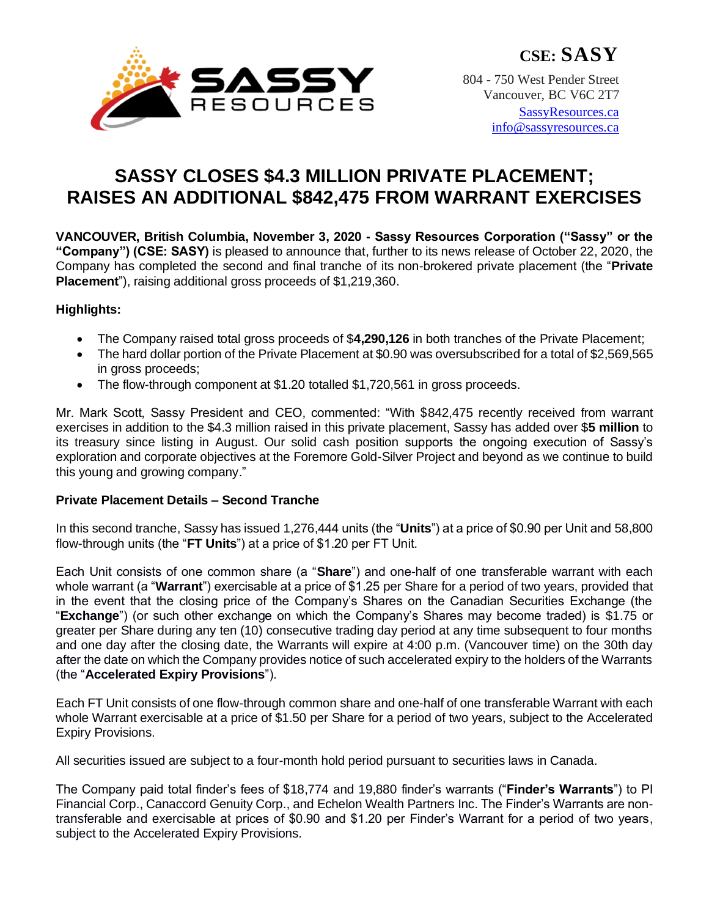

804 - 750 West Pender Street Vancouver, BC V6C 2T7

> [SassyResources.ca](http://www.sassyresources.ca/) [info@sassyresources.ca](mailto:info@sassyresources.ca)

# **SASSY CLOSES \$4.3 MILLION PRIVATE PLACEMENT; RAISES AN ADDITIONAL \$842,475 FROM WARRANT EXERCISES**

**VANCOUVER, British Columbia, November 3, 2020 - Sassy Resources Corporation ("Sassy" or the "Company") (CSE: SASY)** is pleased to announce that, further to its news release of October 22, 2020, the Company has completed the second and final tranche of its non-brokered private placement (the "**Private Placement**"), raising additional gross proceeds of \$1,219,360.

## **Highlights:**

- The Company raised total gross proceeds of \$**4,290,126** in both tranches of the Private Placement;
- The hard dollar portion of the Private Placement at \$0.90 was oversubscribed for a total of \$2,569,565 in gross proceeds;
- The flow-through component at \$1.20 totalled \$1,720,561 in gross proceeds.

Mr. Mark Scott, Sassy President and CEO, commented: "With \$842,475 recently received from warrant exercises in addition to the \$4.3 million raised in this private placement, Sassy has added over \$**5 million** to its treasury since listing in August. Our solid cash position supports the ongoing execution of Sassy's exploration and corporate objectives at the Foremore Gold-Silver Project and beyond as we continue to build this young and growing company."

### **Private Placement Details – Second Tranche**

In this second tranche, Sassy has issued 1,276,444 units (the "**Units**") at a price of \$0.90 per Unit and 58,800 flow-through units (the "**FT Units**") at a price of \$1.20 per FT Unit.

Each Unit consists of one common share (a "**Share**") and one-half of one transferable warrant with each whole warrant (a "**Warrant**") exercisable at a price of \$1.25 per Share for a period of two years, provided that in the event that the closing price of the Company's Shares on the Canadian Securities Exchange (the "**Exchange**") (or such other exchange on which the Company's Shares may become traded) is \$1.75 or greater per Share during any ten (10) consecutive trading day period at any time subsequent to four months and one day after the closing date, the Warrants will expire at 4:00 p.m. (Vancouver time) on the 30th day after the date on which the Company provides notice of such accelerated expiry to the holders of the Warrants (the "**Accelerated Expiry Provisions**").

Each FT Unit consists of one flow-through common share and one-half of one transferable Warrant with each whole Warrant exercisable at a price of \$1.50 per Share for a period of two years, subject to the Accelerated Expiry Provisions.

All securities issued are subject to a four-month hold period pursuant to securities laws in Canada.

The Company paid total finder's fees of \$18,774 and 19,880 finder's warrants ("**Finder's Warrants**") to PI Financial Corp., Canaccord Genuity Corp., and Echelon Wealth Partners Inc. The Finder's Warrants are nontransferable and exercisable at prices of \$0.90 and \$1.20 per Finder's Warrant for a period of two years, subject to the Accelerated Expiry Provisions.